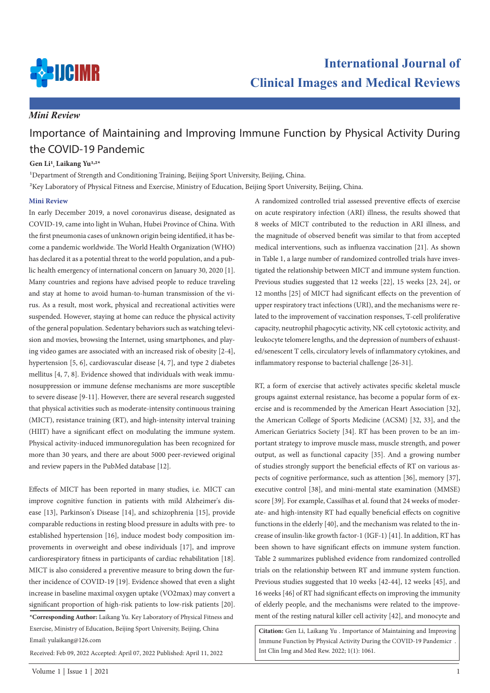

# *Mini Review*

# Importance of Maintaining and Improving Immune Function by Physical Activity During the COVID-19 Pandemic

### **Gen Li1, Laikang Yu1,2\***

<sup>1</sup>Department of Strength and Conditioning Training, Beijing Sport University, Beijing, China. 2Key Laboratory of Physical Fitness and Exercise, Ministry of Education, Beijing Sport University, Beijing, China.

#### **Mini Review**

In early December 2019, a novel coronavirus disease, designated as COVID-19, came into light in Wuhan, Hubei Province of China. With the first pneumonia cases of unknown origin being identified, it has become a pandemic worldwide. The World Health Organization (WHO) has declared it as a potential threat to the world population, and a public health emergency of international concern on January 30, 2020 [1]. Many countries and regions have advised people to reduce traveling and stay at home to avoid human-to-human transmission of the virus. As a result, most work, physical and recreational activities were suspended. However, staying at home can reduce the physical activity of the general population. Sedentary behaviors such as watching television and movies, browsing the Internet, using smartphones, and playing video games are associated with an increased risk of obesity [2-4], hypertension [5, 6], cardiovascular disease [4, 7], and type 2 diabetes mellitus [4, 7, 8]. Evidence showed that individuals with weak immunosuppression or immune defense mechanisms are more susceptible to severe disease [9-11]. However, there are several research suggested that physical activities such as moderate-intensity continuous training (MICT), resistance training (RT), and high-intensity interval training (HIIT) have a significant effect on modulating the immune system. Physical activity-induced immunoregulation has been recognized for more than 30 years, and there are about 5000 peer-reviewed original and review papers in the PubMed database [12].

**\*Corresponding Author:** Laikang Yu. Key Laboratory of Physical Fitness and Exercise, Ministry of Education, Beijing Sport University, Beijing, China Effects of MICT has been reported in many studies, i.e. MICT can improve cognitive function in patients with mild Alzheimer's disease [13], Parkinson's Disease [14], and schizophrenia [15], provide comparable reductions in resting blood pressure in adults with pre- to established hypertension [16], induce modest body composition improvements in overweight and obese individuals [17], and improve cardiorespiratory fitness in participants of cardiac rehabilitation [18]. MICT is also considered a preventive measure to bring down the further incidence of COVID-19 [19]. Evidence showed that even a slight increase in baseline maximal oxygen uptake (VO2max) may convert a significant proportion of high-risk patients to low-risk patients [20].

Email: yulaikang@126.com

Received: Feb 09, 2022 Accepted: April 07, 2022 Published: April 11, 2022

A randomized controlled trial assessed preventive effects of exercise on acute respiratory infection (ARI) illness, the results showed that 8 weeks of MICT contributed to the reduction in ARI illness, and the magnitude of observed benefit was similar to that from accepted medical interventions, such as influenza vaccination [21]. As shown in Table 1, a large number of randomized controlled trials have investigated the relationship between MICT and immune system function. Previous studies suggested that 12 weeks [22], 15 weeks [23, 24], or 12 months [25] of MICT had significant effects on the prevention of upper respiratory tract infections (URI), and the mechanisms were related to the improvement of vaccination responses, T-cell proliferative capacity, neutrophil phagocytic activity, NK cell cytotoxic activity, and leukocyte telomere lengths, and the depression of numbers of exhausted/senescent T cells, circulatory levels of inflammatory cytokines, and inflammatory response to bacterial challenge [26-31].

RT, a form of exercise that actively activates specific skeletal muscle groups against external resistance, has become a popular form of exercise and is recommended by the American Heart Association [32], the American College of Sports Medicine (ACSM) [32, 33], and the American Geriatrics Society [34]. RT has been proven to be an important strategy to improve muscle mass, muscle strength, and power output, as well as functional capacity [35]. And a growing number of studies strongly support the beneficial effects of RT on various aspects of cognitive performance, such as attention [36], memory [37], executive control [38], and mini-mental state examination (MMSE) score [39]. For example, Cassilhas et al. found that 24 weeks of moderate- and high-intensity RT had equally beneficial effects on cognitive functions in the elderly [40], and the mechanism was related to the increase of insulin-like growth factor-1 (IGF-1) [41]. In addition, RT has been shown to have significant effects on immune system function. Table 2 summarizes published evidence from randomized controlled trials on the relationship between RT and immune system function. Previous studies suggested that 10 weeks [42-44], 12 weeks [45], and 16 weeks [46] of RT had significant effects on improving the immunity of elderly people, and the mechanisms were related to the improvement of the resting natural killer cell activity [42], and monocyte and

**Citation:** Gen Li, Laikang Yu . Importance of Maintaining and Improving Immune Function by Physical Activity During the COVID-19 Pandemicr . Int Clin Img and Med Rew. 2022; 1(1): 1061.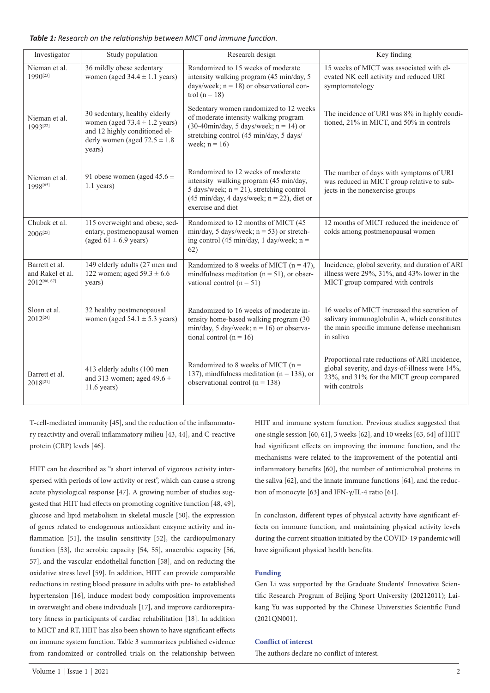|  |  |  |  |  | Table 1: Research on the relationship between MICT and immune function. |  |  |  |  |  |
|--|--|--|--|--|-------------------------------------------------------------------------|--|--|--|--|--|
|--|--|--|--|--|-------------------------------------------------------------------------|--|--|--|--|--|

| Investigator                                       | Study population                                                                                                                                    | Research design                                                                                                                                                                                           | Key finding                                                                                                                                                   |
|----------------------------------------------------|-----------------------------------------------------------------------------------------------------------------------------------------------------|-----------------------------------------------------------------------------------------------------------------------------------------------------------------------------------------------------------|---------------------------------------------------------------------------------------------------------------------------------------------------------------|
| Nieman et al.<br>1990[23]                          | 36 mildly obese sedentary<br>women (aged $34.4 \pm 1.1$ years)                                                                                      | Randomized to 15 weeks of moderate<br>intensity walking program (45 min/day, 5<br>days/week; $n = 18$ ) or observational con-<br>trol ( $n = 18$ )                                                        | 15 weeks of MICT was associated with el-<br>evated NK cell activity and reduced URI<br>symptomatology                                                         |
| Nieman et al.<br>1993 <sup>[22]</sup>              | 30 sedentary, healthy elderly<br>women (aged $73.4 \pm 1.2$ years)<br>and 12 highly conditioned el-<br>derly women (aged $72.5 \pm 1.8$ )<br>years) | Sedentary women randomized to 12 weeks<br>of moderate intensity walking program<br>$(30-40\text{min/day}, 5 \text{ days/week}; n = 14)$ or<br>stretching control (45 min/day, 5 days/<br>week; $n = 16$ ) | The incidence of URI was 8% in highly condi-<br>tioned, 21% in MICT, and 50% in controls                                                                      |
| Nieman et al.<br>1998[65]                          | 91 obese women (aged $45.6 \pm$<br>$1.1$ years)                                                                                                     | Randomized to 12 weeks of moderate<br>intensity walking program (45 min/day,<br>5 days/week; $n = 21$ ), stretching control<br>$(45 min/day, 4 days/week; n = 22)$ , diet or<br>exercise and diet         | The number of days with symptoms of URI<br>was reduced in MICT group relative to sub-<br>jects in the nonexercise groups                                      |
| Chubak et al.<br>2006 <sup>[25]</sup>              | 115 overweight and obese, sed-<br>entary, postmenopausal women<br>(aged $61 \pm 6.9$ years)                                                         | Randomized to 12 months of MICT (45<br>min/day, 5 days/week; $n = 53$ ) or stretch-<br>ing control (45 min/day, 1 day/week; $n =$<br>62)                                                                  | 12 months of MICT reduced the incidence of<br>colds among postmenopausal women                                                                                |
| Barrett et al.<br>and Rakel et al.<br>2012[66, 67] | 149 elderly adults (27 men and<br>122 women; aged $59.3 \pm 6.6$<br>years)                                                                          | Randomized to 8 weeks of MICT ( $n = 47$ ),<br>mindfulness meditation ( $n = 51$ ), or obser-<br>vational control ( $n = 51$ )                                                                            | Incidence, global severity, and duration of ARI<br>illness were 29%, 31%, and 43% lower in the<br>MICT group compared with controls                           |
| Sloan et al.<br>2012[24]                           | 32 healthy postmenopausal<br>women (aged $54.1 \pm 5.3$ years)                                                                                      | Randomized to 16 weeks of moderate in-<br>tensity home-based walking program (30<br>min/day, 5 day/week; $n = 16$ ) or observa-<br>tional control ( $n = 16$ )                                            | 16 weeks of MICT increased the secretion of<br>salivary immunoglobulin A, which constitutes<br>the main specific immune defense mechanism<br>in saliva        |
| Barrett et al.<br>2018[21]                         | 413 elderly adults (100 men<br>and 313 women; aged 49.6 $\pm$<br>$11.6$ years)                                                                      | Randomized to 8 weeks of MICT ( $n =$<br>137), mindfulness meditation ( $n = 138$ ), or<br>observational control ( $n = 138$ )                                                                            | Proportional rate reductions of ARI incidence,<br>global severity, and days-of-illness were 14%,<br>23%, and 31% for the MICT group compared<br>with controls |

T-cell-mediated immunity [45], and the reduction of the inflammatory reactivity and overall inflammatory milieu [43, 44], and C-reactive protein (CRP) levels [46].

HIIT can be described as "a short interval of vigorous activity interspersed with periods of low activity or rest", which can cause a strong acute physiological response [47]. A growing number of studies suggested that HIIT had effects on promoting cognitive function [48, 49], glucose and lipid metabolism in skeletal muscle [50], the expression of genes related to endogenous antioxidant enzyme activity and inflammation [51], the insulin sensitivity [52], the cardiopulmonary function [53], the aerobic capacity [54, 55], anaerobic capacity [56, 57], and the vascular endothelial function [58], and on reducing the oxidative stress level [59]. In addition, HIIT can provide comparable reductions in resting blood pressure in adults with pre- to established hypertension [16], induce modest body composition improvements in overweight and obese individuals [17], and improve cardiorespiratory fitness in participants of cardiac rehabilitation [18]. In addition to MICT and RT, HIIT has also been shown to have significant effects on immune system function. Table 3 summarizes published evidence from randomized or controlled trials on the relationship between

HIIT and immune system function. Previous studies suggested that one single session [60, 61], 3 weeks [62], and 10 weeks [63, 64] of HIIT had significant effects on improving the immune function, and the mechanisms were related to the improvement of the potential antiinflammatory benefits [60], the number of antimicrobial proteins in the saliva [62], and the innate immune functions [64], and the reduction of monocyte [63] and IFN-γ/IL-4 ratio [61].

In conclusion, different types of physical activity have significant effects on immune function, and maintaining physical activity levels during the current situation initiated by the COVID-19 pandemic will have significant physical health benefits.

## **Funding**

Gen Li was supported by the Graduate Students' Innovative Scientific Research Program of Beijing Sport University (20212011); Laikang Yu was supported by the Chinese Universities Scientific Fund (2021QN001).

#### **Conflict of interest**

The authors declare no conflict of interest.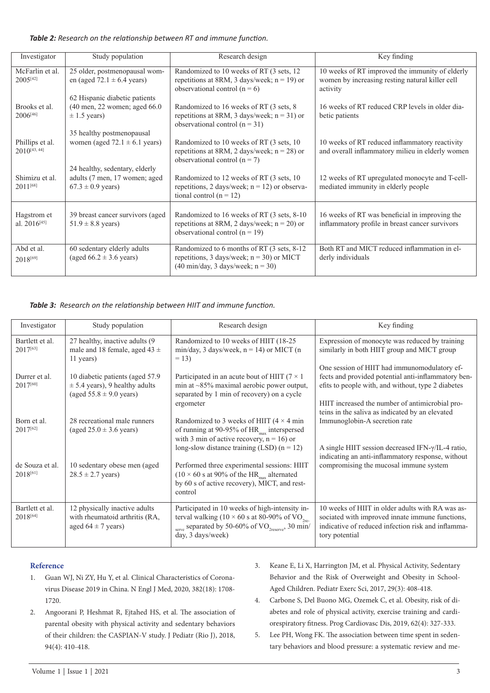*Table 2: Research on the relationship between RT and immune function.*

| Investigator                         | Study population                                                            | Research design                                                                                                                                    | Key finding                                                                                                    |
|--------------------------------------|-----------------------------------------------------------------------------|----------------------------------------------------------------------------------------------------------------------------------------------------|----------------------------------------------------------------------------------------------------------------|
| McFarlin et al.<br>$2005^{[42]}$     | 25 older, postmenopausal wom-<br>en (aged 72.1 $\pm$ 6.4 years)             | Randomized to 10 weeks of RT (3 sets, 12)<br>repetitions at 8RM, 3 days/week; $n = 19$ ) or<br>observational control $(n = 6)$                     | 10 weeks of RT improved the immunity of elderly<br>women by increasing resting natural killer cell<br>activity |
|                                      | 62 Hispanic diabetic patients                                               |                                                                                                                                                    |                                                                                                                |
| Brooks et al.<br>$2006^{[46]}$       | $(40 \text{ men}, 22 \text{ women}; \text{aged } 66.0)$<br>$\pm$ 1.5 years) | Randomized to 16 weeks of RT (3 sets, 8)<br>repetitions at 8RM, 3 days/week; $n = 31$ ) or<br>observational control $(n = 31)$                     | 16 weeks of RT reduced CRP levels in older dia-<br>betic patients                                              |
|                                      | 35 healthy postmenopausal                                                   |                                                                                                                                                    |                                                                                                                |
| Phillips et al.<br>$2010^{[43, 44]}$ | women (aged $72.1 \pm 6.1$ years)                                           | Randomized to 10 weeks of RT (3 sets, 10)<br>repetitions at 8RM, 2 days/week; $n = 28$ ) or<br>observational control $(n = 7)$                     | 10 weeks of RT reduced inflammatory reactivity<br>and overall inflammatory milieu in elderly women             |
|                                      | 24 healthy, sedentary, elderly                                              |                                                                                                                                                    |                                                                                                                |
| Shimizu et al.<br>$2011^{[68]}$      | adults (7 men, 17 women; aged<br>$67.3 \pm 0.9$ years)                      | Randomized to 12 weeks of RT (3 sets, 10)<br>repetitions, 2 days/week; $n = 12$ ) or observa-<br>tional control $(n = 12)$                         | 12 weeks of RT upregulated monocyte and T-cell-<br>mediated immunity in elderly people                         |
| Hagstrom et<br>al. $2016^{[45]}$     | 39 breast cancer survivors (aged<br>$51.9 \pm 8.8$ years)                   | Randomized to 16 weeks of RT (3 sets, 8-10)<br>repetitions at 8RM, 2 days/week; $n = 20$ ) or<br>observational control $(n = 19)$                  | 16 weeks of RT was beneficial in improving the<br>inflammatory profile in breast cancer survivors              |
| Abd et al.<br>2018[69]               | 60 sedentary elderly adults<br>(aged $66.2 \pm 3.6$ years)                  | Randomized to 6 months of RT (3 sets, 8-12)<br>repetitions, 3 days/week; $n = 30$ ) or MICT<br>$(40 \text{ min/day}, 3 \text{ days/week}; n = 30)$ | Both RT and MICT reduced inflammation in el-<br>derly individuals                                              |

*Table 3: Research on the relationship between HIIT and immune function.*

| Investigator                            | Study population                                                                                      | Research design                                                                                                                                                                                   | Key finding                                                                                                                                                                                                  |
|-----------------------------------------|-------------------------------------------------------------------------------------------------------|---------------------------------------------------------------------------------------------------------------------------------------------------------------------------------------------------|--------------------------------------------------------------------------------------------------------------------------------------------------------------------------------------------------------------|
| Bartlett et al.<br>$2017^{[63]}$        | 27 healthy, inactive adults (9<br>male and 18 female, aged 43 $\pm$<br>11 years)                      | Randomized to 10 weeks of HIIT (18-25)<br>min/day, 3 days/week, $n = 14$ ) or MICT (n<br>$= 13$                                                                                                   | Expression of monocyte was reduced by training<br>similarly in both HIIT group and MICT group                                                                                                                |
| Durrer et al.<br>2017[60]               | 10 diabetic patients (aged 57.9)<br>$\pm$ 5.4 years), 9 healthy adults<br>(aged $55.8 \pm 9.0$ years) | Participated in an acute bout of HIIT ( $7 \times 1$ )<br>min at $\sim$ 85% maximal aerobic power output,<br>separated by 1 min of recovery) on a cycle<br>ergometer                              | One session of HIIT had immunomodulatory ef-<br>fects and provided potential anti-inflammatory ben-<br>efits to people with, and without, type 2 diabetes<br>HIIT increased the number of antimicrobial pro- |
| Born et al.<br>$2017^{[62]}$            | 28 recreational male runners<br>(aged $25.0 \pm 3.6$ years)                                           | Randomized to 3 weeks of HIIT ( $4 \times 4$ min<br>of running at 90-95% of $HR_{\text{max}}$ interspersed<br>with 3 min of active recovery, $n = 16$ ) or                                        | teins in the saliva as indicated by an elevated<br>Immunoglobin-A secretion rate                                                                                                                             |
|                                         |                                                                                                       | long-slow distance training (LSD) $(n = 12)$                                                                                                                                                      | A single HIIT session decreased IFN- $\gamma$ /IL-4 ratio,<br>indicating an anti-inflammatory response, without                                                                                              |
| de Souza et al.<br>2018[61]             | 10 sedentary obese men (aged<br>$28.5 \pm 2.7$ years)                                                 | Performed three experimental sessions: HIIT<br>$(10 \times 60 \text{ s at } 90\% \text{ of the HR}_{\text{max}} \text{ alternated})$<br>by 60 s of active recovery), MICT, and rest-<br>control   | compromising the mucosal immune system                                                                                                                                                                       |
| Bartlett et al.<br>2018 <sup>[64]</sup> | 12 physically inactive adults<br>with rheumatoid arthritis (RA,<br>aged $64 \pm 7$ years)             | Participated in 10 weeks of high-intensity in-<br>terval walking (10 $\times$ 60 s at 80-90% of VO <sub>2re-</sub><br>serve separated by 50-60% of $VO_{2reserve}$ , 30 min/<br>day, 3 days/week) | 10 weeks of HIIT in older adults with RA was as-<br>sociated with improved innate immune functions,<br>indicative of reduced infection risk and inflamma-<br>tory potential                                  |

## **Reference**

- 1. Guan WJ, Ni ZY, Hu Y, et al. Clinical Characteristics of Coronavirus Disease 2019 in China. N Engl J Med, 2020, 382(18): 1708- 1720.
- 2. Angoorani P, Heshmat R, Ejtahed HS, et al. The association of parental obesity with physical activity and sedentary behaviors of their children: the CASPIAN-V study. J Pediatr (Rio J), 2018, 94(4): 410-418.
- 3. Keane E, Li X, Harrington JM, et al. Physical Activity, Sedentary Behavior and the Risk of Overweight and Obesity in School-Aged Children. Pediatr Exerc Sci, 2017, 29(3): 408-418.
- 4. Carbone S, Del Buono MG, Ozemek C, et al. Obesity, risk of diabetes and role of physical activity, exercise training and cardiorespiratory fitness. Prog Cardiovasc Dis, 2019, 62(4): 327-333.
- 5. Lee PH, Wong FK. The association between time spent in sedentary behaviors and blood pressure: a systematic review and me-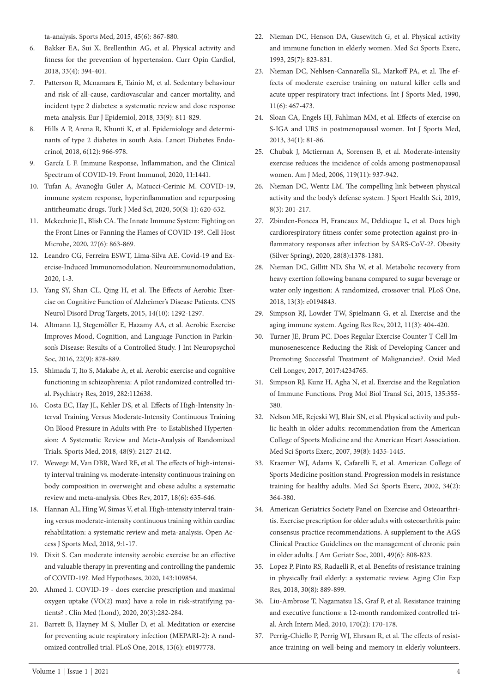ta-analysis. Sports Med, 2015, 45(6): 867-880.

- 6. Bakker EA, Sui X, Brellenthin AG, et al. Physical activity and fitness for the prevention of hypertension. Curr Opin Cardiol, 2018, 33(4): 394-401.
- 7. Patterson R, Mcnamara E, Tainio M, et al. Sedentary behaviour and risk of all-cause, cardiovascular and cancer mortality, and incident type 2 diabetes: a systematic review and dose response meta-analysis. Eur J Epidemiol, 2018, 33(9): 811-829.
- 8. Hills A P, Arena R, Khunti K, et al. Epidemiology and determinants of type 2 diabetes in south Asia. Lancet Diabetes Endocrinol, 2018, 6(12): 966-978.
- 9. García L F. Immune Response, Inflammation, and the Clinical Spectrum of COVID-19. Front Immunol, 2020, 11:1441.
- 10. Tufan A, Avanoğlu Güler A, Matucci-Cerinic M. COVID-19, immune system response, hyperinflammation and repurposing antirheumatic drugs. Turk J Med Sci, 2020, 50(Si-1): 620-632.
- 11. Mckechnie JL, Blish CA. The Innate Immune System: Fighting on the Front Lines or Fanning the Flames of COVID-19?. Cell Host Microbe, 2020, 27(6): 863-869.
- 12. Leandro CG, Ferreira ESWT, Lima-Silva AE. Covid-19 and Exercise-Induced Immunomodulation. Neuroimmunomodulation, 2020, 1-3.
- 13. Yang SY, Shan CL, Qing H, et al. The Effects of Aerobic Exercise on Cognitive Function of Alzheimer's Disease Patients. CNS Neurol Disord Drug Targets, 2015, 14(10): 1292-1297.
- 14. Altmann LJ, Stegemöller E, Hazamy AA, et al. Aerobic Exercise Improves Mood, Cognition, and Language Function in Parkinson's Disease: Results of a Controlled Study. J Int Neuropsychol Soc, 2016, 22(9): 878-889.
- 15. Shimada T, Ito S, Makabe A, et al. Aerobic exercise and cognitive functioning in schizophrenia: A pilot randomized controlled trial. Psychiatry Res, 2019, 282:112638.
- 16. Costa EC, Hay JL, Kehler DS, et al. Effects of High-Intensity Interval Training Versus Moderate-Intensity Continuous Training On Blood Pressure in Adults with Pre- to Established Hypertension: A Systematic Review and Meta-Analysis of Randomized Trials. Sports Med, 2018, 48(9): 2127-2142.
- 17. Wewege M, Van DBR, Ward RE, et al. The effects of high-intensity interval training vs. moderate-intensity continuous training on body composition in overweight and obese adults: a systematic review and meta-analysis. Obes Rev, 2017, 18(6): 635-646.
- 18. Hannan AL, Hing W, Simas V, et al. High-intensity interval training versus moderate-intensity continuous training within cardiac rehabilitation: a systematic review and meta-analysis. Open Access J Sports Med, 2018, 9:1-17.
- 19. Dixit S. Can moderate intensity aerobic exercise be an effective and valuable therapy in preventing and controlling the pandemic of COVID-19?. Med Hypotheses, 2020, 143:109854.
- 20. Ahmed I. COVID-19 does exercise prescription and maximal oxygen uptake (VO(2) max) have a role in risk-stratifying patients? . Clin Med (Lond), 2020, 20(3):282-284.
- 21. Barrett B, Hayney M S, Muller D, et al. Meditation or exercise for preventing acute respiratory infection (MEPARI-2): A randomized controlled trial. PLoS One, 2018, 13(6): e0197778.
- 22. Nieman DC, Henson DA, Gusewitch G, et al. Physical activity and immune function in elderly women. Med Sci Sports Exerc, 1993, 25(7): 823-831.
- 23. Nieman DC, Nehlsen-Cannarella SL, Markoff PA, et al. The effects of moderate exercise training on natural killer cells and acute upper respiratory tract infections. Int J Sports Med, 1990, 11(6): 467-473.
- 24. Sloan CA, Engels HJ, Fahlman MM, et al. Effects of exercise on S-IGA and URS in postmenopausal women. Int J Sports Med, 2013, 34(1): 81-86.
- 25. Chubak J, Mctiernan A, Sorensen B, et al. Moderate-intensity exercise reduces the incidence of colds among postmenopausal women. Am J Med, 2006, 119(11): 937-942.
- 26. Nieman DC, Wentz LM. The compelling link between physical activity and the body's defense system. J Sport Health Sci, 2019, 8(3): 201-217.
- 27. Zbinden-Foncea H, Francaux M, Deldicque L, et al. Does high cardiorespiratory fitness confer some protection against pro-inflammatory responses after infection by SARS-CoV-2?. Obesity (Silver Spring), 2020, 28(8):1378-1381.
- 28. Nieman DC, Gillitt ND, Sha W, et al. Metabolic recovery from heavy exertion following banana compared to sugar beverage or water only ingestion: A randomized, crossover trial. PLoS One, 2018, 13(3): e0194843.
- 29. Simpson RJ, Lowder TW, Spielmann G, et al. Exercise and the aging immune system. Ageing Res Rev, 2012, 11(3): 404-420.
- 30. Turner JE, Brum PC. Does Regular Exercise Counter T Cell Immunosenescence Reducing the Risk of Developing Cancer and Promoting Successful Treatment of Malignancies?. Oxid Med Cell Longev, 2017, 2017:4234765.
- 31. Simpson RJ, Kunz H, Agha N, et al. Exercise and the Regulation of Immune Functions. Prog Mol Biol Transl Sci, 2015, 135:355- 380.
- 32. Nelson ME, Rejeski WJ, Blair SN, et al. Physical activity and public health in older adults: recommendation from the American College of Sports Medicine and the American Heart Association. Med Sci Sports Exerc, 2007, 39(8): 1435-1445.
- 33. Kraemer WJ, Adams K, Cafarelli E, et al. American College of Sports Medicine position stand. Progression models in resistance training for healthy adults. Med Sci Sports Exerc, 2002, 34(2): 364-380.
- 34. American Geriatrics Society Panel on Exercise and Osteoarthritis. Exercise prescription for older adults with osteoarthritis pain: consensus practice recommendations. A supplement to the AGS Clinical Practice Guidelines on the management of chronic pain in older adults. J Am Geriatr Soc, 2001, 49(6): 808-823.
- 35. Lopez P, Pinto RS, Radaelli R, et al. Benefits of resistance training in physically frail elderly: a systematic review. Aging Clin Exp Res, 2018, 30(8): 889-899.
- 36. Liu-Ambrose T, Nagamatsu LS, Graf P, et al. Resistance training and executive functions: a 12-month randomized controlled trial. Arch Intern Med, 2010, 170(2): 170-178.
- 37. Perrig-Chiello P, Perrig WJ, Ehrsam R, et al. The effects of resistance training on well-being and memory in elderly volunteers.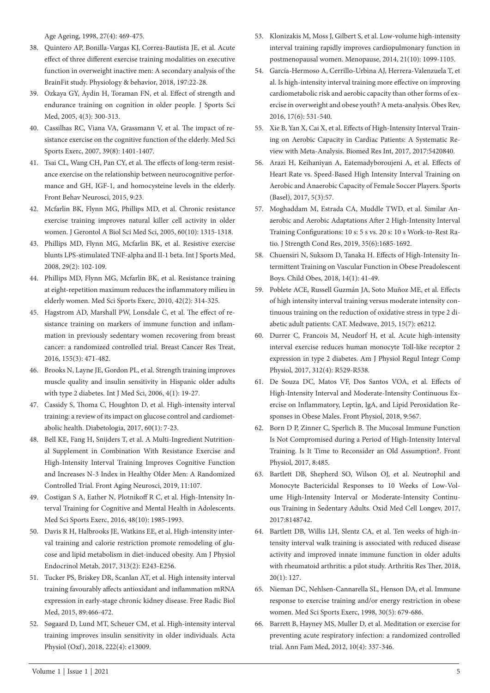Age Ageing, 1998, 27(4): 469-475.

- 38. Quintero AP, Bonilla-Vargas KJ, Correa-Bautista JE, et al. Acute effect of three different exercise training modalities on executive function in overweight inactive men: A secondary analysis of the BrainFit study. Physiology & behavior, 2018, 197:22-28.
- 39. Ozkaya GY, Aydin H, Toraman FN, et al. Effect of strength and endurance training on cognition in older people. J Sports Sci Med, 2005, 4(3): 300-313.
- 40. Cassilhas RC, Viana VA, Grassmann V, et al. The impact of resistance exercise on the cognitive function of the elderly. Med Sci Sports Exerc, 2007, 39(8): 1401-1407.
- 41. Tsai CL, Wang CH, Pan CY, et al. The effects of long-term resistance exercise on the relationship between neurocognitive performance and GH, IGF-1, and homocysteine levels in the elderly. Front Behav Neurosci, 2015, 9:23.
- 42. Mcfarlin BK, Flynn MG, Phillips MD, et al. Chronic resistance exercise training improves natural killer cell activity in older women. J Gerontol A Biol Sci Med Sci, 2005, 60(10): 1315-1318.
- 43. Phillips MD, Flynn MG, Mcfarlin BK, et al. Resistive exercise blunts LPS-stimulated TNF-alpha and Il-1 beta. Int J Sports Med, 2008, 29(2): 102-109.
- 44. Phillips MD, Flynn MG, Mcfarlin BK, et al. Resistance training at eight-repetition maximum reduces the inflammatory milieu in elderly women. Med Sci Sports Exerc, 2010, 42(2): 314-325.
- 45. Hagstrom AD, Marshall PW, Lonsdale C, et al. The effect of resistance training on markers of immune function and inflammation in previously sedentary women recovering from breast cancer: a randomized controlled trial. Breast Cancer Res Treat, 2016, 155(3): 471-482.
- 46. Brooks N, Layne JE, Gordon PL, et al. Strength training improves muscle quality and insulin sensitivity in Hispanic older adults with type 2 diabetes. Int J Med Sci, 2006, 4(1): 19-27.
- 47. Cassidy S, Thoma C, Houghton D, et al. High-intensity interval training: a review of its impact on glucose control and cardiometabolic health. Diabetologia, 2017, 60(1): 7-23.
- 48. Bell KE, Fang H, Snijders T, et al. A Multi-Ingredient Nutritional Supplement in Combination With Resistance Exercise and High-Intensity Interval Training Improves Cognitive Function and Increases N-3 Index in Healthy Older Men: A Randomized Controlled Trial. Front Aging Neurosci, 2019, 11:107.
- 49. Costigan S A, Eather N, Plotnikoff R C, et al. High-Intensity Interval Training for Cognitive and Mental Health in Adolescents. Med Sci Sports Exerc, 2016, 48(10): 1985-1993.
- 50. Davis R H, Halbrooks JE, Watkins EE, et al. High-intensity interval training and calorie restriction promote remodeling of glucose and lipid metabolism in diet-induced obesity. Am J Physiol Endocrinol Metab, 2017, 313(2): E243-E256.
- 51. Tucker PS, Briskey DR, Scanlan AT, et al. High intensity interval training favourably affects antioxidant and inflammation mRNA expression in early-stage chronic kidney disease. Free Radic Biol Med, 2015, 89:466-472.
- 52. Søgaard D, Lund MT, Scheuer CM, et al. High-intensity interval training improves insulin sensitivity in older individuals. Acta Physiol (Oxf), 2018, 222(4): e13009.
- 53. Klonizakis M, Moss J, Gilbert S, et al. Low-volume high-intensity interval training rapidly improves cardiopulmonary function in postmenopausal women. Menopause, 2014, 21(10): 1099-1105.
- 54. García-Hermoso A, Cerrillo-Urbina AJ, Herrera-Valenzuela T, et al. Is high-intensity interval training more effective on improving cardiometabolic risk and aerobic capacity than other forms of exercise in overweight and obese youth? A meta-analysis. Obes Rev, 2016, 17(6): 531-540.
- 55. Xie B, Yan X, Cai X, et al. Effects of High-Intensity Interval Training on Aerobic Capacity in Cardiac Patients: A Systematic Review with Meta-Analysis. Biomed Res Int, 2017, 2017:5420840.
- 56. Arazi H, Keihaniyan A, Eatemadyboroujeni A, et al. Effects of Heart Rate vs. Speed-Based High Intensity Interval Training on Aerobic and Anaerobic Capacity of Female Soccer Players. Sports (Basel), 2017, 5(3):57.
- 57. Moghaddam M, Estrada CA, Muddle TWD, et al. Similar Anaerobic and Aerobic Adaptations After 2 High-Intensity Interval Training Configurations: 10 s: 5 s vs. 20 s: 10 s Work-to-Rest Ratio. J Strength Cond Res, 2019, 35(6):1685-1692.
- 58. Chuensiri N, Suksom D, Tanaka H. Effects of High-Intensity Intermittent Training on Vascular Function in Obese Preadolescent Boys. Child Obes, 2018, 14(1): 41-49.
- 59. Poblete ACE, Russell Guzmán JA, Soto Muñoz ME, et al. Effects of high intensity interval training versus moderate intensity continuous training on the reduction of oxidative stress in type 2 diabetic adult patients: CAT. Medwave, 2015, 15(7): e6212.
- 60. Durrer C, Francois M, Neudorf H, et al. Acute high-intensity interval exercise reduces human monocyte Toll-like receptor 2 expression in type 2 diabetes. Am J Physiol Regul Integr Comp Physiol, 2017, 312(4): R529-R538.
- 61. De Souza DC, Matos VF, Dos Santos VOA, et al. Effects of High-Intensity Interval and Moderate-Intensity Continuous Exercise on Inflammatory, Leptin, IgA, and Lipid Peroxidation Responses in Obese Males. Front Physiol, 2018, 9:567.
- 62. Born D P, Zinner C, Sperlich B. The Mucosal Immune Function Is Not Compromised during a Period of High-Intensity Interval Training. Is It Time to Reconsider an Old Assumption?. Front Physiol, 2017, 8:485.
- 63. Bartlett DB, Shepherd SO, Wilson OJ, et al. Neutrophil and Monocyte Bactericidal Responses to 10 Weeks of Low-Volume High-Intensity Interval or Moderate-Intensity Continuous Training in Sedentary Adults. Oxid Med Cell Longev, 2017, 2017:8148742.
- 64. Bartlett DB, Willis LH, Slentz CA, et al. Ten weeks of high-intensity interval walk training is associated with reduced disease activity and improved innate immune function in older adults with rheumatoid arthritis: a pilot study. Arthritis Res Ther, 2018, 20(1): 127.
- 65. Nieman DC, Nehlsen-Cannarella SL, Henson DA, et al. Immune response to exercise training and/or energy restriction in obese women. Med Sci Sports Exerc, 1998, 30(5): 679-686.
- 66. Barrett B, Hayney MS, Muller D, et al. Meditation or exercise for preventing acute respiratory infection: a randomized controlled trial. Ann Fam Med, 2012, 10(4): 337-346.